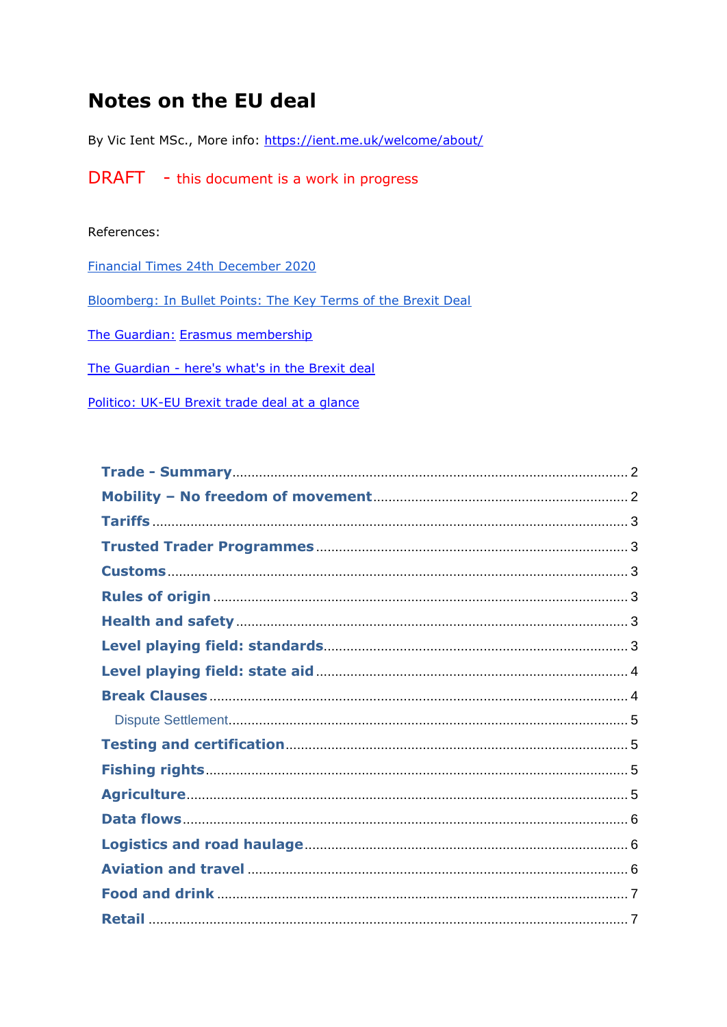# **Notes on the EU deal**

By Vic Ient MSc., More info: https://ient.me.uk/welcome/about/

**DRAFT** - this document is a work in progress

#### References:

**Financial Times 24th December 2020** 

Bloomberg: In Bullet Points: The Key Terms of the Brexit Deal

The Guardian: Erasmus membership

The Guardian - here's what's in the Brexit deal

Politico: UK-EU Brexit trade deal at a glance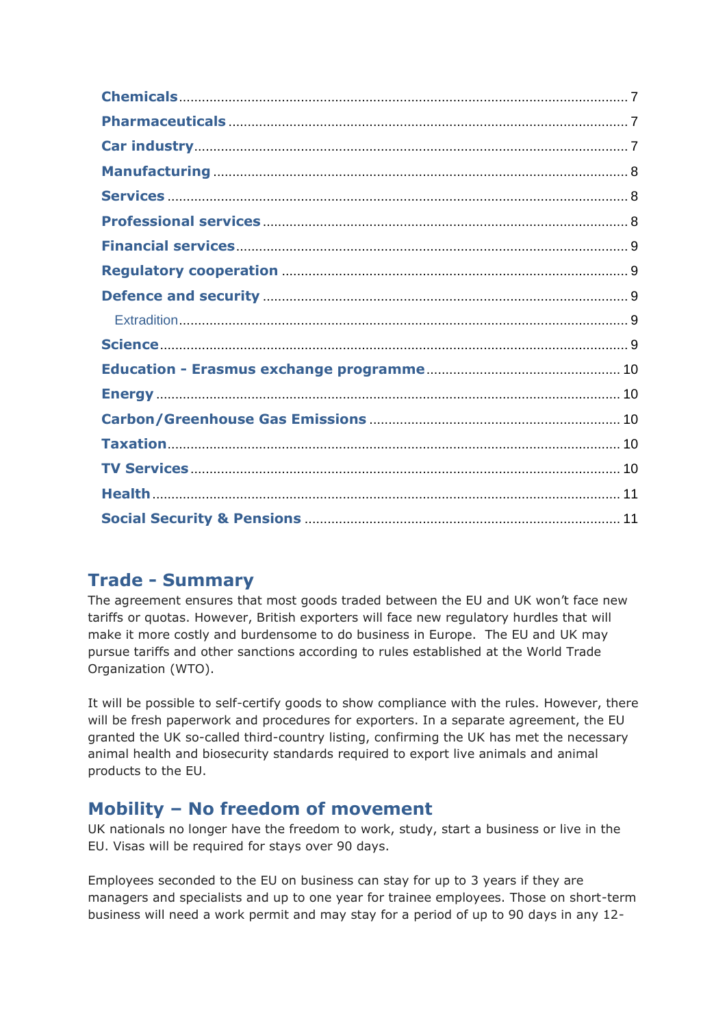### **Trade - Summary**

The agreement ensures that most goods traded between the EU and UK won't face new tariffs or quotas. However, British exporters will face new regulatory hurdles that will make it more costly and burdensome to do business in Europe. The EU and UK may pursue tariffs and other sanctions according to rules established at the World Trade Organization (WTO).

It will be possible to self-certify goods to show compliance with the rules. However, there will be fresh paperwork and procedures for exporters. In a separate agreement, the EU granted the UK so-called third-country listing, confirming the UK has met the necessary animal health and biosecurity standards required to export live animals and animal products to the EU.

# **Mobility – No freedom of movement**

UK nationals no longer have the freedom to work, study, start a business or live in the EU. Visas will be required for stays over 90 days.

Employees seconded to the EU on business can stay for up to 3 years if they are managers and specialists and up to one year for trainee employees. Those on short-term business will need a work permit and may stay for a period of up to 90 days in any 12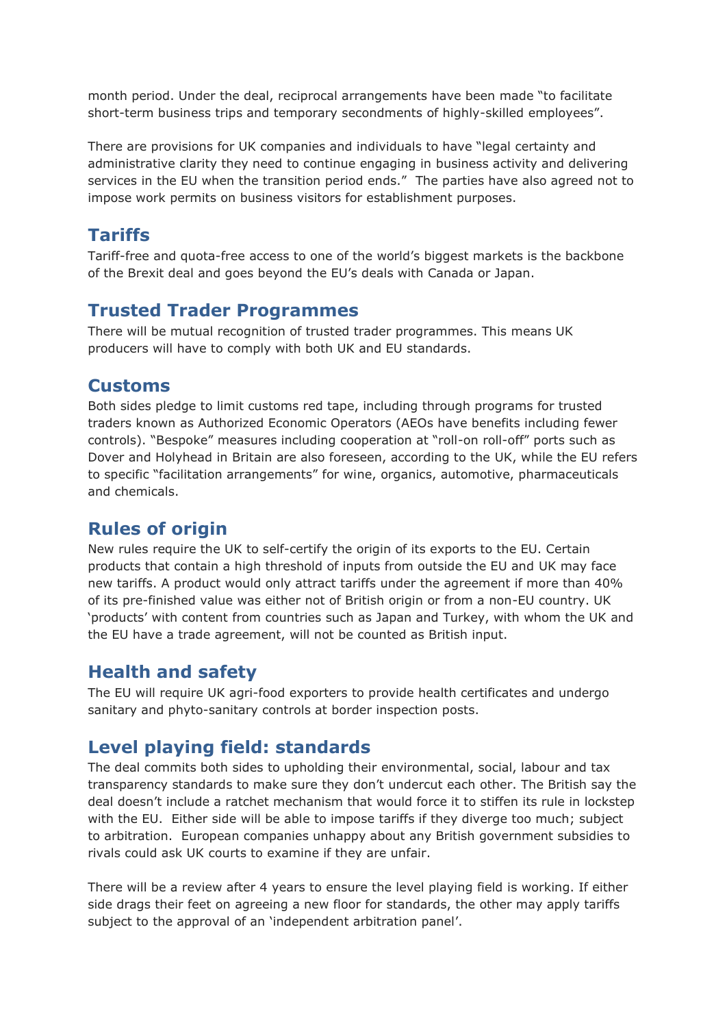month period. Under the deal, reciprocal arrangements have been made "to facilitate short-term business trips and temporary secondments of highly-skilled employees".

There are provisions for UK companies and individuals to have "legal certainty and administrative clarity they need to continue engaging in business activity and delivering services in the EU when the transition period ends." The parties have also agreed not to impose work permits on business visitors for establishment purposes.

# **Tariffs**

Tariff-free and quota-free access to one of the world's biggest markets is the backbone of the Brexit deal and goes beyond the EU's deals with Canada or Japan.

### **Trusted Trader Programmes**

There will be mutual recognition of trusted trader programmes. This means UK producers will have to comply with both UK and EU standards.

#### **Customs**

Both sides pledge to limit customs red tape, including through programs for trusted traders known as Authorized Economic Operators (AEOs have benefits including fewer controls). "Bespoke" measures including cooperation at "roll-on roll-off" ports such as Dover and Holyhead in Britain are also foreseen, according to the UK, while the EU refers to specific "facilitation arrangements" for wine, organics, automotive, pharmaceuticals and chemicals.

### **Rules of origin**

New rules require the UK to self-certify the origin of its exports to the EU. Certain products that contain a high threshold of inputs from outside the EU and UK may face new tariffs. A product would only attract tariffs under the agreement if more than 40% of its pre-finished value was either not of British origin or from a non-EU country. UK 'products' with content from countries such as Japan and Turkey, with whom the UK and the EU have a trade agreement, will not be counted as British input.

#### **Health and safety**

The EU will require UK agri-food exporters to provide health certificates and undergo sanitary and phyto-sanitary controls at border inspection posts.

### **Level playing field: standards**

The deal commits both sides to upholding their environmental, social, labour and tax transparency standards to make sure they don't undercut each other. The British say the deal doesn't include a ratchet mechanism that would force it to stiffen its rule in lockstep with the EU. Either side will be able to impose tariffs if they diverge too much; subject to arbitration. European companies unhappy about any British government subsidies to rivals could ask UK courts to examine if they are unfair.

There will be a review after 4 years to ensure the level playing field is working. If either side drags their feet on agreeing a new floor for standards, the other may apply tariffs subject to the approval of an 'independent arbitration panel'.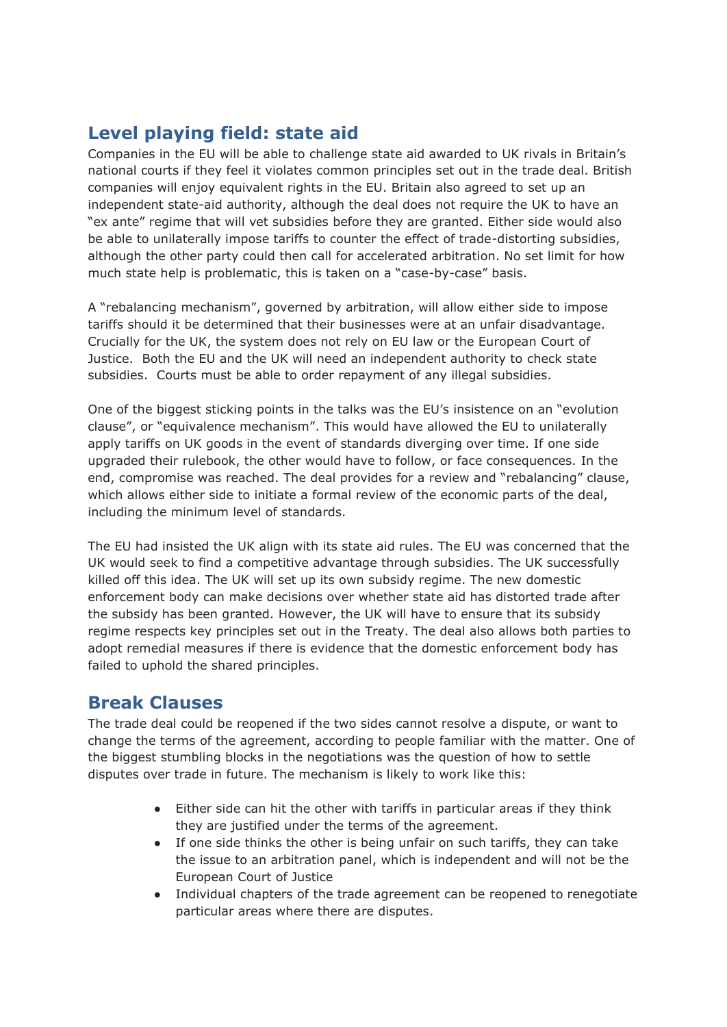# **Level playing field: state aid**

Companies in the EU will be able to challenge state aid awarded to UK rivals in Britain's national courts if they feel it violates common principles set out in the trade deal. British companies will enjoy equivalent rights in the EU. Britain also agreed to set up an independent state-aid authority, although the deal does not require the UK to have an "ex ante" regime that will vet subsidies before they are granted. Either side would also be able to unilaterally impose tariffs to counter the effect of trade-distorting subsidies, although the other party could then call for accelerated arbitration. No set limit for how much state help is problematic, this is taken on a "case-by-case" basis.

A "rebalancing mechanism", governed by arbitration, will allow either side to impose tariffs should it be determined that their businesses were at an unfair disadvantage. Crucially for the UK, the system does not rely on EU law or the European Court of Justice. Both the EU and the UK will need an independent authority to check state subsidies. Courts must be able to order repayment of any illegal subsidies.

One of the biggest sticking points in the talks was the EU's insistence on an "evolution clause", or "equivalence mechanism". This would have allowed the EU to unilaterally apply tariffs on UK goods in the event of standards diverging over time. If one side upgraded their rulebook, the other would have to follow, or face consequences. In the end, compromise was reached. The deal provides for a review and "rebalancing" clause, which allows either side to initiate a formal review of the economic parts of the deal, including the minimum level of standards.

The EU had insisted the UK align with its state aid rules. The EU was concerned that the UK would seek to find a competitive advantage through subsidies. The UK successfully killed off this idea. The UK will set up its own subsidy regime. The new domestic enforcement body can make decisions over whether state aid has distorted trade after the subsidy has been granted. However, the UK will have to ensure that its subsidy regime respects key principles set out in the Treaty. The deal also allows both parties to adopt remedial measures if there is evidence that the domestic enforcement body has failed to uphold the shared principles.

#### **Break Clauses**

The trade deal could be reopened if the two sides cannot resolve a dispute, or want to change the terms of the agreement, according to people familiar with the matter. One of the biggest stumbling blocks in the negotiations was the question of how to settle disputes over trade in future. The mechanism is likely to work like this:

- Either side can hit the other with tariffs in particular areas if they think they are justified under the terms of the agreement.
- If one side thinks the other is being unfair on such tariffs, they can take the issue to an arbitration panel, which is independent and will not be the European Court of Justice
- Individual chapters of the trade agreement can be reopened to renegotiate particular areas where there are disputes.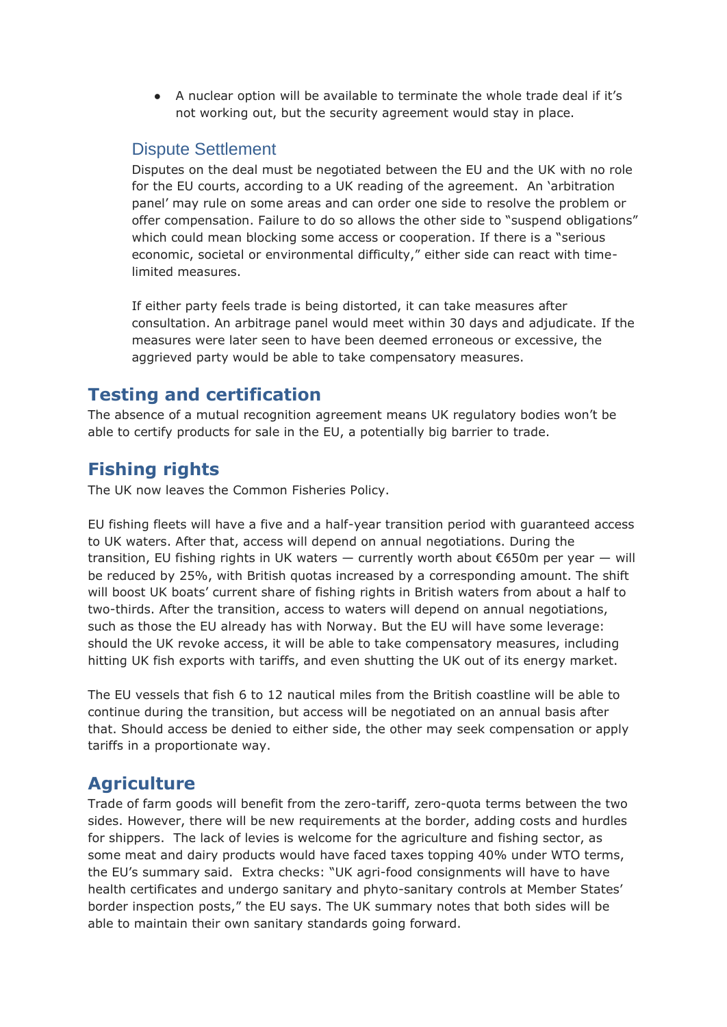● A nuclear option will be available to terminate the whole trade deal if it's not working out, but the security agreement would stay in place.

#### Dispute Settlement

Disputes on the deal must be negotiated between the EU and the UK with no role for the EU courts, according to a UK reading of the agreement. An 'arbitration panel' may rule on some areas and can order one side to resolve the problem or offer compensation. Failure to do so allows the other side to "suspend obligations" which could mean blocking some access or cooperation. If there is a "serious economic, societal or environmental difficulty," either side can react with timelimited measures.

If either party feels trade is being distorted, it can take measures after consultation. An arbitrage panel would meet within 30 days and adjudicate. If the measures were later seen to have been deemed erroneous or excessive, the aggrieved party would be able to take compensatory measures.

# **Testing and certification**

The absence of a mutual recognition agreement means UK regulatory bodies won't be able to certify products for sale in the EU, a potentially big barrier to trade.

# **Fishing rights**

The UK now leaves the Common Fisheries Policy.

EU fishing fleets will have a five and a half-year transition period with guaranteed access to UK waters. After that, access will depend on annual negotiations. During the transition, EU fishing rights in UK waters — currently worth about  $\epsilon$ 650m per year — will be reduced by 25%, with British quotas increased by a corresponding amount. The shift will boost UK boats' current share of fishing rights in British waters from about a half to two-thirds. After the transition, access to waters will depend on annual negotiations, such as those the EU already has with Norway. But the EU will have some leverage: should the UK revoke access, it will be able to take compensatory measures, including hitting UK fish exports with tariffs, and even shutting the UK out of its energy market.

The EU vessels that fish 6 to 12 nautical miles from the British coastline will be able to continue during the transition, but access will be negotiated on an annual basis after that. Should access be denied to either side, the other may seek compensation or apply tariffs in a proportionate way.

### **Agriculture**

Trade of farm goods will benefit from the zero-tariff, zero-quota terms between the two sides. However, there will be new requirements at the border, adding costs and hurdles for shippers. The lack of levies is welcome for the agriculture and fishing sector, as some meat and dairy products would have faced taxes topping 40% under WTO terms, the EU's summary said. Extra checks: "UK agri-food consignments will have to have health certificates and undergo sanitary and phyto-sanitary controls at Member States' border inspection posts," the EU says. The UK summary notes that both sides will be able to maintain their own sanitary standards going forward.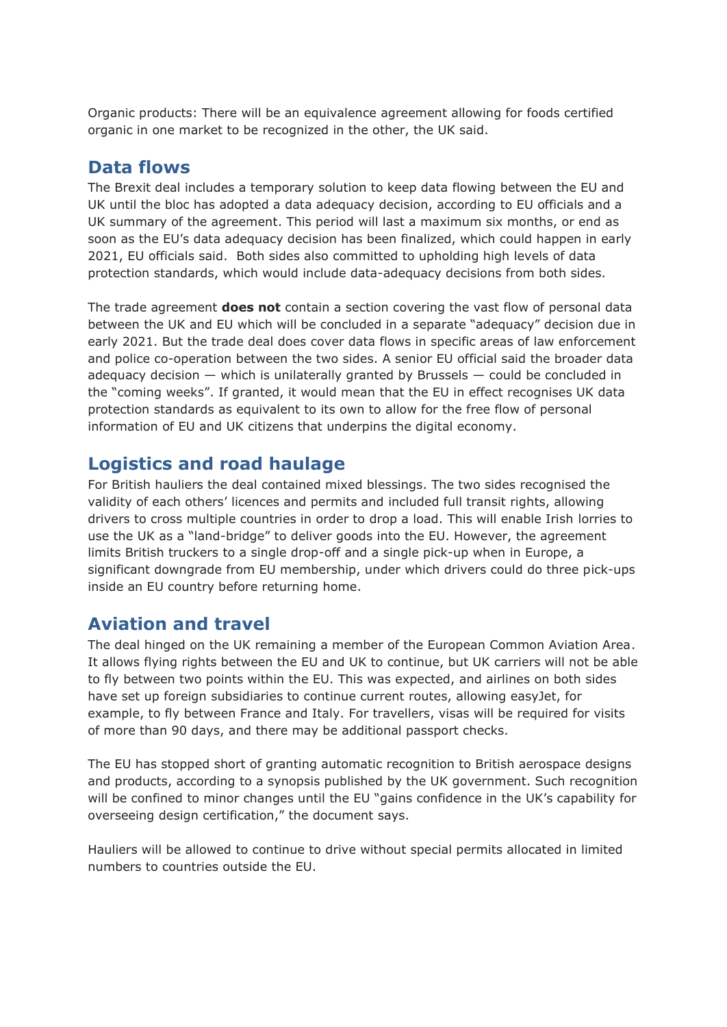Organic products: There will be an equivalence agreement allowing for foods certified organic in one market to be recognized in the other, the UK said.

#### **Data flows**

The Brexit deal includes a temporary solution to keep data flowing between the EU and UK until the bloc has adopted a data adequacy decision, according to EU officials and a UK summary of the agreement. This period will last a maximum six months, or end as soon as the EU's data adequacy decision has been finalized, which could happen in early 2021, EU officials said. Both sides also committed to upholding high levels of data protection standards, which would include data-adequacy decisions from both sides.

The trade agreement **does not** contain a section covering the vast flow of personal data between the UK and EU which will be concluded in a separate "adequacy" decision due in early 2021. But the trade deal does cover data flows in specific areas of law enforcement and police co-operation between the two sides. A senior EU official said the broader data adequacy decision — which is unilaterally granted by Brussels — could be concluded in the "coming weeks". If granted, it would mean that the EU in effect recognises UK data protection standards as equivalent to its own to allow for the free flow of personal information of EU and UK citizens that underpins the digital economy.

#### **Logistics and road haulage**

For British hauliers the deal contained mixed blessings. The two sides recognised the validity of each others' licences and permits and included full transit rights, allowing drivers to cross multiple countries in order to drop a load. This will enable Irish lorries to use the UK as a "land-bridge" to deliver goods into the EU. However, the agreement limits British truckers to a single drop-off and a single pick-up when in Europe, a significant downgrade from EU membership, under which drivers could do three pick-ups inside an EU country before returning home.

#### **Aviation and travel**

The deal hinged on the UK remaining a member of the European Common Aviation Area. It allows flying rights between the EU and UK to continue, but UK carriers will not be able to fly between two points within the EU. This was expected, and airlines on both sides have set up foreign subsidiaries to continue current routes, allowing easyJet, for example, to fly between France and Italy. For travellers, visas will be required for visits of more than 90 days, and there may be additional passport checks.

The EU has stopped short of granting automatic recognition to British aerospace designs and products, according to a synopsis published by the UK government. Such recognition will be confined to minor changes until the EU "gains confidence in the UK's capability for overseeing design certification," the document says.

Hauliers will be allowed to continue to drive without special permits allocated in limited numbers to countries outside the EU.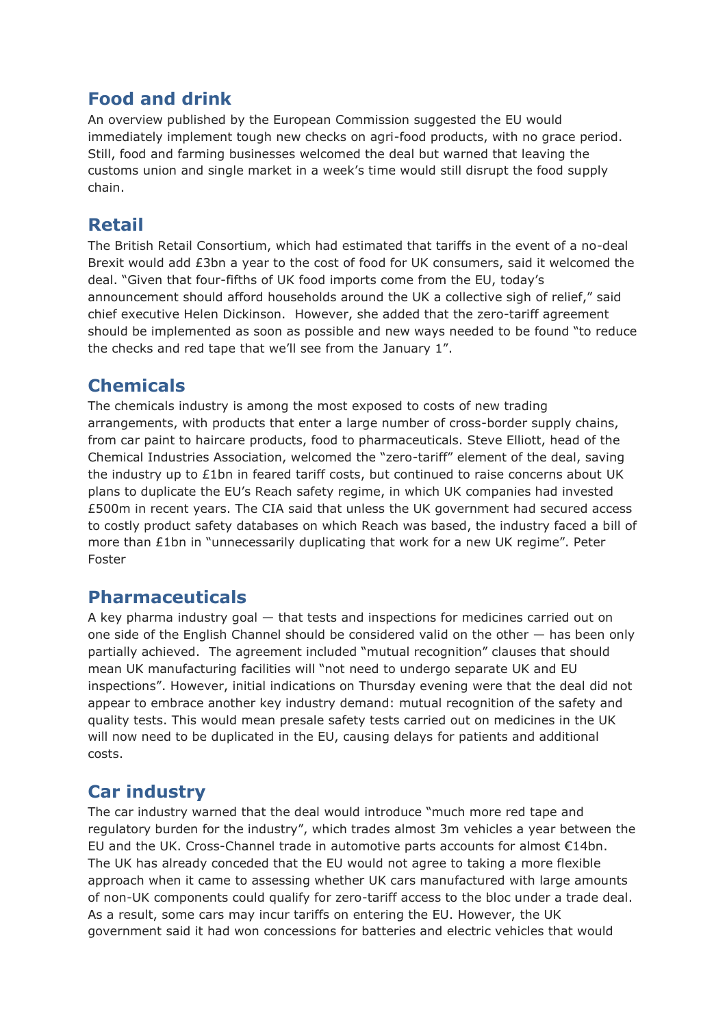### **Food and drink**

An overview published by the European Commission suggested the EU would immediately implement tough new checks on agri-food products, with no grace period. Still, food and farming businesses welcomed the deal but warned that leaving the customs union and single market in a week's time would still disrupt the food supply chain.

### **Retail**

The British Retail Consortium, which had estimated that tariffs in the event of a no-deal Brexit would add £3bn a year to the cost of food for UK consumers, said it welcomed the deal. "Given that four-fifths of UK food imports come from the EU, today's announcement should afford households around the UK a collective sigh of relief," said chief executive Helen Dickinson. However, she added that the zero-tariff agreement should be implemented as soon as possible and new ways needed to be found "to reduce the checks and red tape that we'll see from the January 1".

# **Chemicals**

The chemicals industry is among the most exposed to costs of new trading arrangements, with products that enter a large number of cross-border supply chains, from car paint to haircare products, food to pharmaceuticals. Steve Elliott, head of the Chemical Industries Association, welcomed the "zero-tariff" element of the deal, saving the industry up to £1bn in feared tariff costs, but continued to raise concerns about UK plans to duplicate the EU's Reach safety regime, in which UK companies had invested £500m in recent years. The CIA said that unless the UK government had secured access to costly product safety databases on which Reach was based, the industry faced a bill of more than £1bn in "unnecessarily duplicating that work for a new UK regime". Peter Foster

#### **Pharmaceuticals**

A key pharma industry goal — that tests and inspections for medicines carried out on one side of the English Channel should be considered valid on the other — has been only partially achieved. The agreement included "mutual recognition" clauses that should mean UK manufacturing facilities will "not need to undergo separate UK and EU inspections". However, initial indications on Thursday evening were that the deal did not appear to embrace another key industry demand: mutual recognition of the safety and quality tests. This would mean presale safety tests carried out on medicines in the UK will now need to be duplicated in the EU, causing delays for patients and additional costs.

# **Car industry**

The car industry warned that the deal would introduce "much more red tape and regulatory burden for the industry", which trades almost 3m vehicles a year between the EU and the UK. Cross-Channel trade in automotive parts accounts for almost €14bn. The UK has already conceded that the EU would not agree to taking a more flexible approach when it came to assessing whether UK cars manufactured with large amounts of non-UK components could qualify for zero-tariff access to the bloc under a trade deal. As a result, some cars may incur tariffs on entering the EU. However, the UK government said it had won concessions for batteries and electric vehicles that would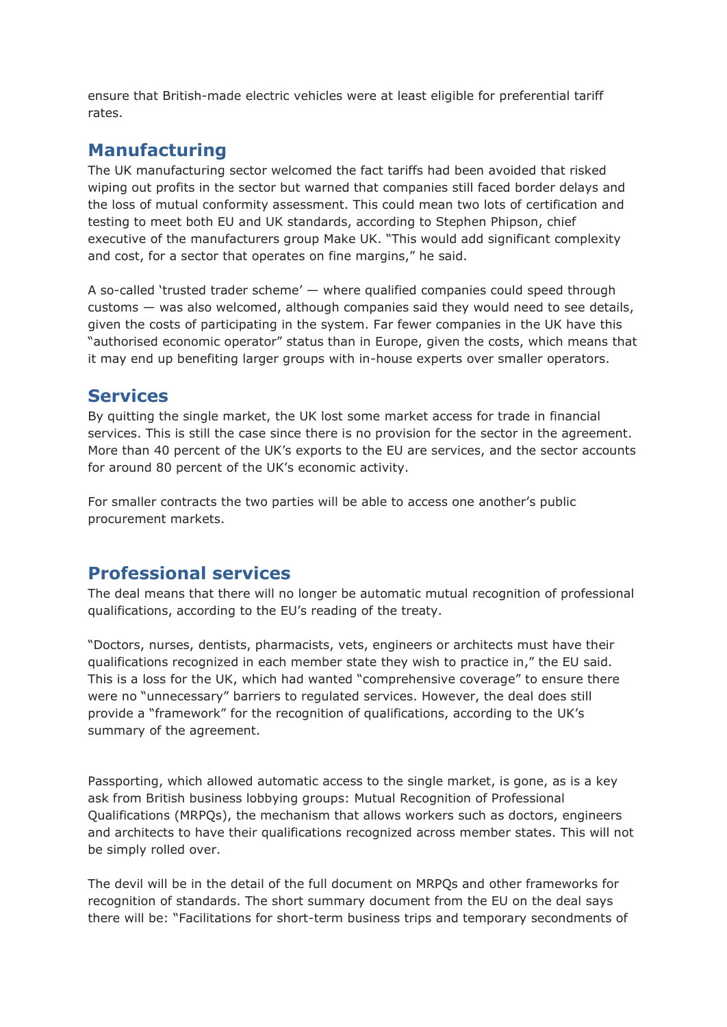ensure that British-made electric vehicles were at least eligible for preferential tariff rates.

# **Manufacturing**

The UK manufacturing sector welcomed the fact tariffs had been avoided that risked wiping out profits in the sector but warned that companies still faced border delays and the loss of mutual conformity assessment. This could mean two lots of certification and testing to meet both EU and UK standards, according to Stephen Phipson, chief executive of the manufacturers group Make UK. "This would add significant complexity and cost, for a sector that operates on fine margins," he said.

A so-called 'trusted trader scheme' — where qualified companies could speed through customs — was also welcomed, although companies said they would need to see details, given the costs of participating in the system. Far fewer companies in the UK have this "authorised economic operator" status than in Europe, given the costs, which means that it may end up benefiting larger groups with in-house experts over smaller operators.

#### **Services**

By quitting the single market, the UK lost some market access for trade in financial services. This is still the case since there is no provision for the sector in the agreement. More than 40 percent of the UK's exports to the EU are services, and the sector accounts for around 80 percent of the UK's economic activity.

For smaller contracts the two parties will be able to access one another's public procurement markets.

### **Professional services**

The deal means that there will no longer be automatic mutual recognition of professional qualifications, according to the EU's reading of the treaty.

"Doctors, nurses, dentists, pharmacists, vets, engineers or architects must have their qualifications recognized in each member state they wish to practice in," the EU said. This is a loss for the UK, which had wanted "comprehensive coverage" to ensure there were no "unnecessary" barriers to regulated services. However, the deal does still provide a "framework" for the recognition of qualifications, according to the UK's summary of the agreement.

Passporting, which allowed automatic access to the single market, is gone, as is a key ask from British business lobbying groups: Mutual Recognition of Professional Qualifications (MRPQs), the mechanism that allows workers such as doctors, engineers and architects to have their qualifications recognized across member states. This will not be simply rolled over.

The devil will be in the detail of the full document on MRPQs and other frameworks for recognition of standards. The short summary document from the EU on the deal says there will be: "Facilitations for short-term business trips and temporary secondments of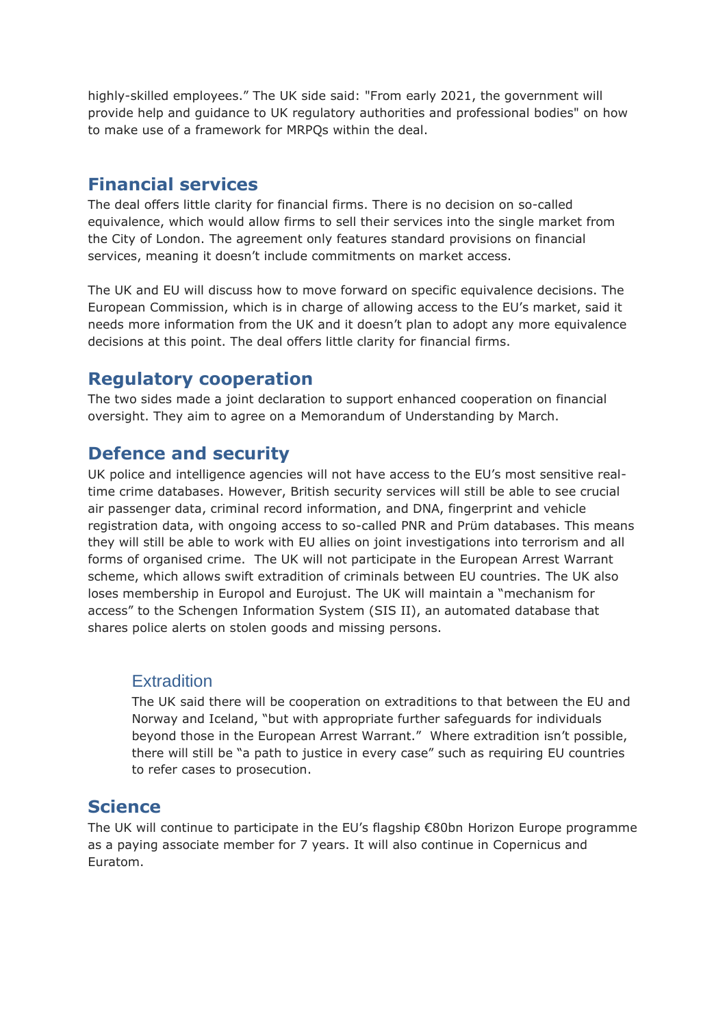highly-skilled employees." The UK side said: "From early 2021, the government will provide help and guidance to UK regulatory authorities and professional bodies" on how to make use of a framework for MRPQs within the deal.

### **Financial services**

The deal offers little clarity for financial firms. There is no decision on so-called equivalence, which would allow firms to sell their services into the single market from the City of London. The agreement only features standard provisions on financial services, meaning it doesn't include commitments on market access.

The UK and EU will discuss how to move forward on specific equivalence decisions. The European Commission, which is in charge of allowing access to the EU's market, said it needs more information from the UK and it doesn't plan to adopt any more equivalence decisions at this point. The deal offers little clarity for financial firms.

### **Regulatory cooperation**

The two sides made a joint declaration to support enhanced cooperation on financial oversight. They aim to agree on a Memorandum of Understanding by March.

### **Defence and security**

UK police and intelligence agencies will not have access to the EU's most sensitive realtime crime databases. However, British security services will still be able to see crucial air passenger data, criminal record information, and DNA, fingerprint and vehicle registration data, with ongoing access to so-called PNR and Prüm databases. This means they will still be able to work with EU allies on joint investigations into terrorism and all forms of organised crime. The UK will not participate in the European Arrest Warrant scheme, which allows swift extradition of criminals between EU countries. The UK also loses membership in Europol and Eurojust. The UK will maintain a "mechanism for access" to the Schengen Information System (SIS II), an automated database that shares police alerts on stolen goods and missing persons.

#### **Extradition**

The UK said there will be cooperation on extraditions to that between the EU and Norway and Iceland, "but with appropriate further safeguards for individuals beyond those in the European Arrest Warrant." Where extradition isn't possible, there will still be "a path to justice in every case" such as requiring EU countries to refer cases to prosecution.

#### **Science**

The UK will continue to participate in the EU's flagship €80bn Horizon Europe programme as a paying associate member for 7 years. It will also continue in Copernicus and Euratom.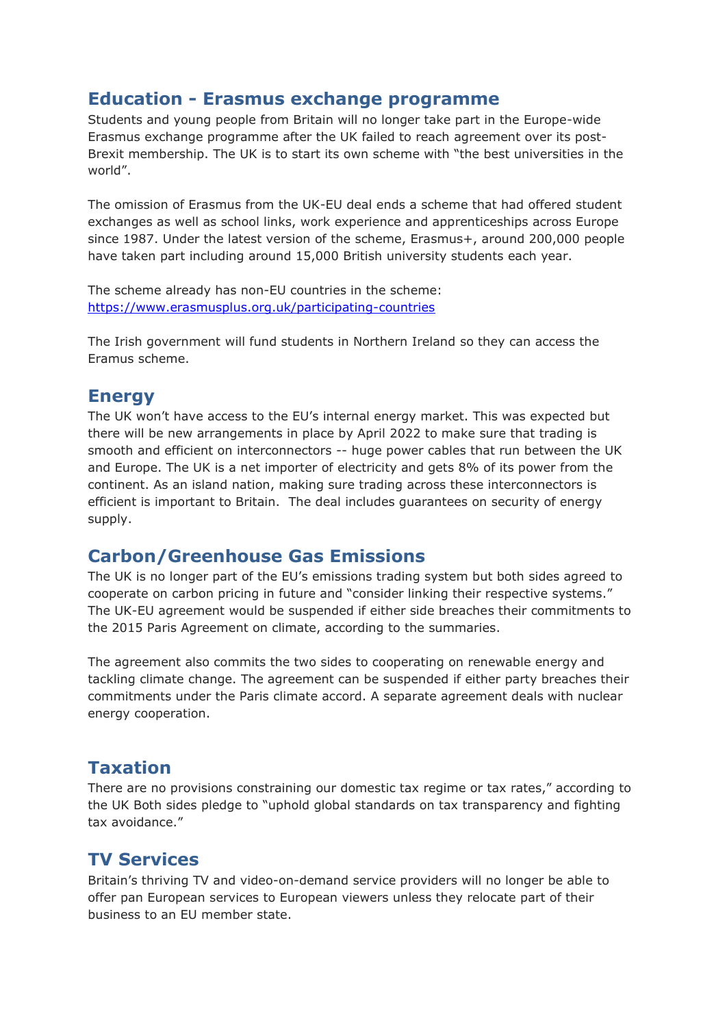#### **Education - Erasmus exchange programme**

Students and young people from Britain will no longer take part in the Europe-wide Erasmus exchange programme after the UK failed to reach agreement over its post-Brexit membership. The UK is to start its own scheme with "the best universities in the world".

The omission of Erasmus from the UK-EU deal ends a scheme that had offered student exchanges as well as school links, work experience and apprenticeships across Europe since 1987. Under the latest version of the scheme, Erasmus+, around 200,000 people have taken part including around 15,000 British university students each year.

The scheme already has non-EU countries in the scheme: <https://www.erasmusplus.org.uk/participating-countries>

The Irish government will fund students in Northern Ireland so they can access the Eramus scheme.

### **Energy**

The UK won't have access to the EU's internal energy market. This was expected but there will be new arrangements in place by April 2022 to make sure that trading is smooth and efficient on interconnectors -- huge power cables that run between the UK and Europe. The UK is a net importer of electricity and gets 8% of its power from the continent. As an island nation, making sure trading across these interconnectors is efficient is important to Britain. The deal includes guarantees on security of energy supply.

### **Carbon/Greenhouse Gas Emissions**

The UK is no longer part of the EU's emissions trading system but both sides agreed to cooperate on carbon pricing in future and "consider linking their respective systems." The UK-EU agreement would be suspended if either side breaches their commitments to the 2015 Paris Agreement on climate, according to the summaries.

The agreement also commits the two sides to cooperating on renewable energy and tackling climate change. The agreement can be suspended if either party breaches their commitments under the Paris climate accord. A separate agreement deals with nuclear energy cooperation.

### **Taxation**

There are no provisions constraining our domestic tax regime or tax rates," according to the UK Both sides pledge to "uphold global standards on tax transparency and fighting tax avoidance."

### **TV Services**

Britain's thriving TV and video-on-demand service providers will no longer be able to offer pan European services to European viewers unless they relocate part of their business to an EU member state.